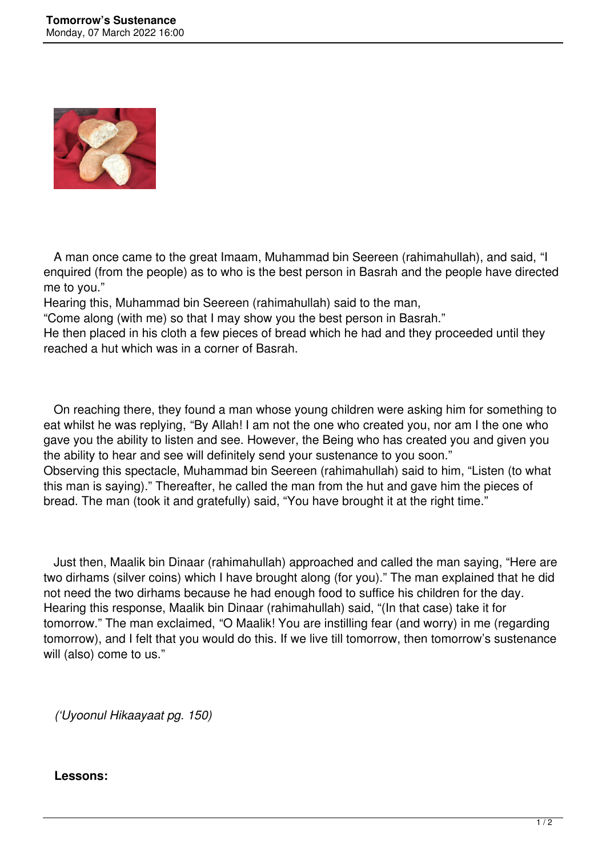

 A man once came to the great Imaam, Muhammad bin Seereen (rahimahullah), and said, "I enquired (from the people) as to who is the best person in Basrah and the people have directed me to you."

Hearing this, Muhammad bin Seereen (rahimahullah) said to the man,

"Come along (with me) so that I may show you the best person in Basrah."

He then placed in his cloth a few pieces of bread which he had and they proceeded until they reached a hut which was in a corner of Basrah.

 On reaching there, they found a man whose young children were asking him for something to eat whilst he was replying, "By Allah! I am not the one who created you, nor am I the one who gave you the ability to listen and see. However, the Being who has created you and given you the ability to hear and see will definitely send your sustenance to you soon." Observing this spectacle, Muhammad bin Seereen (rahimahullah) said to him, "Listen (to what this man is saying)." Thereafter, he called the man from the hut and gave him the pieces of bread. The man (took it and gratefully) said, "You have brought it at the right time."

 Just then, Maalik bin Dinaar (rahimahullah) approached and called the man saying, "Here are two dirhams (silver coins) which I have brought along (for you)." The man explained that he did not need the two dirhams because he had enough food to suffice his children for the day. Hearing this response, Maalik bin Dinaar (rahimahullah) said, "(In that case) take it for tomorrow." The man exclaimed, "O Maalik! You are instilling fear (and worry) in me (regarding tomorrow), and I felt that you would do this. If we live till tomorrow, then tomorrow's sustenance will (also) come to us."

*('Uyoonul Hikaayaat pg. 150)*

## **Lessons:**